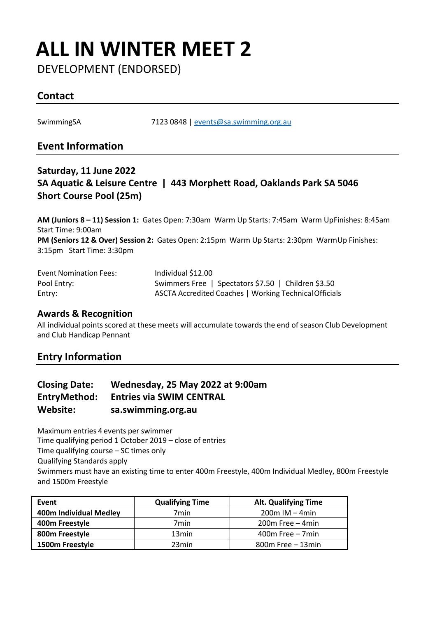## **ALL IN WINTER MEET 2**

DEVELOPMENT (ENDORSED)

#### **Contact**

SwimmingSA 7123 0848 | [events@sa.swimming.org.au](mailto:events@sa.swimming.org.au)

#### **Event Information**

#### **Saturday, 11 June 2022 SA Aquatic & Leisure Centre | 443 Morphett Road, Oaklands Park SA 5046 Short Course Pool (25m)**

**AM (Juniors 8 – 11) Session 1:** Gates Open: 7:30am Warm Up Starts: 7:45am Warm UpFinishes: 8:45am Start Time: 9:00am **PM (Seniors 12 & Over) Session 2:** Gates Open: 2:15pm Warm Up Starts: 2:30pm WarmUp Finishes: 3:15pm Start Time: 3:30pm

| <b>Event Nomination Fees:</b> | Individual \$12.00                                     |
|-------------------------------|--------------------------------------------------------|
| Pool Entry:                   | Swimmers Free   Spectators \$7.50   Children \$3.50    |
| Entry:                        | ASCTA Accredited Coaches   Working Technical Officials |

#### **Awards & Recognition**

All individual points scored at these meets will accumulate towards the end of season Club Development and Club Handicap Pennant

#### **Entry Information**

| <b>Closing Date:</b> | Wednesday, 25 May 2022 at 9:00am |
|----------------------|----------------------------------|
| EntryMethod:         | <b>Entries via SWIM CENTRAL</b>  |
| Website:             | sa.swimming.org.au               |

Maximum entries 4 events per swimmer Time qualifying period 1 October 2019 – close of entries Time qualifying course – SC times only

Qualifying Standards apply

 Swimmers must have an existing time to enter 400m Freestyle, 400m Individual Medley, 800m Freestyle and 1500m Freestyle

| Event                  | <b>Qualifying Time</b> | Alt. Qualifying Time |
|------------------------|------------------------|----------------------|
| 400m Individual Medley | 7min                   | $200m$ IM $-4min$    |
| 400m Freestyle         | 7min                   | $200m$ Free $-4min$  |
| 800m Freestyle         | 13 <sub>min</sub>      | $400m$ Free $-7min$  |
| 1500m Freestyle        | 23min                  | $800m$ Free $-13min$ |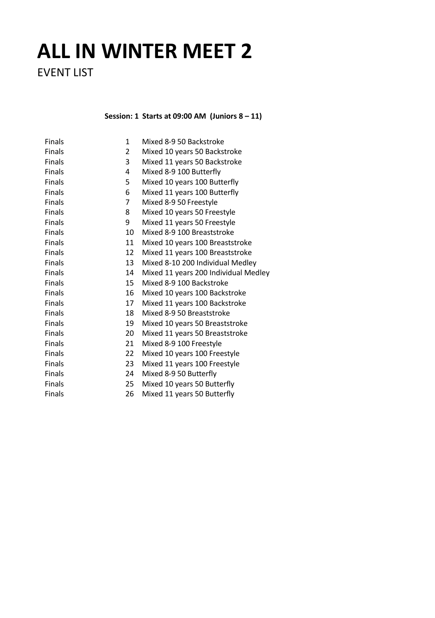# **ALL IN WINTER MEET 2**

EVENT LIST

**Session: 1 Starts at 09:00 AM (Juniors 8 – 11)**

| Finals | 1              | Mixed 8-9 50 Backstroke              |
|--------|----------------|--------------------------------------|
| Finals | $\overline{2}$ | Mixed 10 years 50 Backstroke         |
| Finals | 3              | Mixed 11 years 50 Backstroke         |
| Finals | 4              | Mixed 8-9 100 Butterfly              |
| Finals | 5              | Mixed 10 years 100 Butterfly         |
| Finals | 6              | Mixed 11 years 100 Butterfly         |
| Finals | $\overline{7}$ | Mixed 8-9 50 Freestyle               |
| Finals | 8              | Mixed 10 years 50 Freestyle          |
| Finals | 9              | Mixed 11 years 50 Freestyle          |
| Finals | 10             | Mixed 8-9 100 Breaststroke           |
| Finals | 11             | Mixed 10 years 100 Breaststroke      |
| Finals | 12             | Mixed 11 years 100 Breaststroke      |
| Finals | 13             | Mixed 8-10 200 Individual Medley     |
| Finals | 14             | Mixed 11 years 200 Individual Medley |
| Finals | 15             | Mixed 8-9 100 Backstroke             |
| Finals | 16             | Mixed 10 years 100 Backstroke        |
| Finals | 17             | Mixed 11 years 100 Backstroke        |
| Finals | 18             | Mixed 8-9 50 Breaststroke            |
| Finals | 19             | Mixed 10 years 50 Breaststroke       |
| Finals | 20             | Mixed 11 years 50 Breaststroke       |
| Finals | 21             | Mixed 8-9 100 Freestyle              |
| Finals | 22             | Mixed 10 years 100 Freestyle         |
| Finals | 23             | Mixed 11 years 100 Freestyle         |
| Finals | 24             | Mixed 8-9 50 Butterfly               |
| Finals | 25             | Mixed 10 years 50 Butterfly          |
| Finals | 26             | Mixed 11 years 50 Butterfly          |